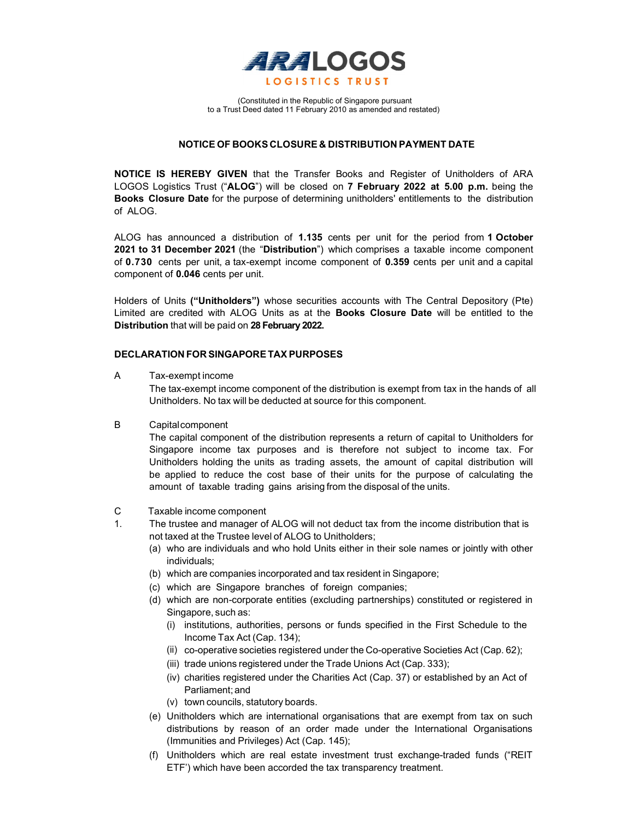

 (Constituted in the Republic of Singapore pursuant to a Trust Deed dated 11 February 2010 as amended and restated)

## NOTICE OF BOOKS CLOSURE & DISTRIBUTION PAYMENT DATE

NOTICE IS HEREBY GIVEN that the Transfer Books and Register of Unitholders of ARA LOGOS Logistics Trust ("ALOG") will be closed on 7 February 2022 at 5.00 p.m. being the Books Closure Date for the purpose of determining unitholders' entitlements to the distribution of ALOG.

ALOG has announced a distribution of 1.135 cents per unit for the period from 1 October 2021 to 31 December 2021 (the "Distribution") which comprises a taxable income component of 0.730 cents per unit, a tax-exempt income component of 0.359 cents per unit and a capital component of 0.046 cents per unit.

Holders of Units ("Unitholders") whose securities accounts with The Central Depository (Pte) Limited are credited with ALOG Units as at the **Books Closure Date** will be entitled to the Distribution that will be paid on 28 February 2022.

### DECLARATION FOR SINGAPORE TAX PURPOSES

A Tax-exempt income

The tax-exempt income component of the distribution is exempt from tax in the hands of all Unitholders. No tax will be deducted at source for this component.

B Capital component

The capital component of the distribution represents a return of capital to Unitholders for Singapore income tax purposes and is therefore not subject to income tax. For Unitholders holding the units as trading assets, the amount of capital distribution will be applied to reduce the cost base of their units for the purpose of calculating the amount of taxable trading gains arising from the disposal of the units.

- C Taxable income component
- 1. The trustee and manager of ALOG will not deduct tax from the income distribution that is not taxed at the Trustee level of ALOG to Unitholders;
	- (a) who are individuals and who hold Units either in their sole names or jointly with other individuals;
	- (b) which are companies incorporated and tax resident in Singapore;
	- (c) which are Singapore branches of foreign companies;
	- (d) which are non-corporate entities (excluding partnerships) constituted or registered in Singapore, such as:
		- (i) institutions, authorities, persons or funds specified in the First Schedule to the Income Tax Act (Cap. 134);
		- (ii) co-operative societies registered under the Co-operative Societies Act (Cap. 62);
		- (iii) trade unions registered under the Trade Unions Act (Cap. 333);
		- (iv) charities registered under the Charities Act (Cap. 37) or established by an Act of Parliament; and
		- (v) town councils, statutory boards.
	- (e) Unitholders which are international organisations that are exempt from tax on such distributions by reason of an order made under the International Organisations (Immunities and Privileges) Act (Cap. 145);
	- (f) Unitholders which are real estate investment trust exchange-traded funds ("REIT ETF') which have been accorded the tax transparency treatment.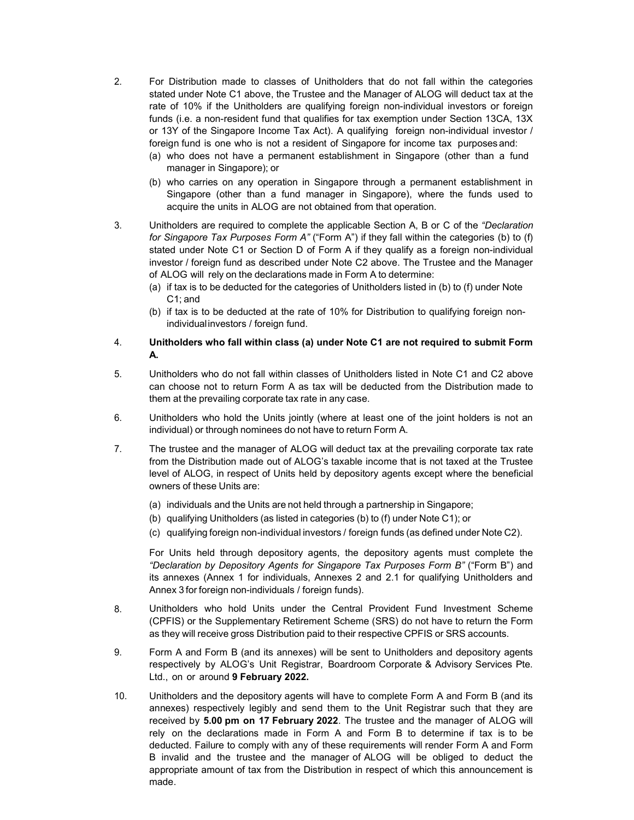- 2. For Distribution made to classes of Unitholders that do not fall within the categories stated under Note C1 above, the Trustee and the Manager of ALOG will deduct tax at the rate of 10% if the Unitholders are qualifying foreign non-individual investors or foreign funds (i.e. a non-resident fund that qualifies for tax exemption under Section 13CA, 13X or 13Y of the Singapore Income Tax Act). A qualifying foreign non-individual investor / foreign fund is one who is not a resident of Singapore for income tax purposes and:
	- (a) who does not have a permanent establishment in Singapore (other than a fund manager in Singapore); or
	- (b) who carries on any operation in Singapore through a permanent establishment in Singapore (other than a fund manager in Singapore), where the funds used to acquire the units in ALOG are not obtained from that operation.
- 3. Unitholders are required to complete the applicable Section A, B or C of the "Declaration for Singapore Tax Purposes Form  $A$ " ("Form A") if they fall within the categories (b) to (f) stated under Note C1 or Section D of Form A if they qualify as a foreign non-individual investor / foreign fund as described under Note C2 above. The Trustee and the Manager of ALOG will rely on the declarations made in Form A to determine:
	- (a) if tax is to be deducted for the categories of Unitholders listed in (b) to (f) under Note C1; and
	- (b) if tax is to be deducted at the rate of 10% for Distribution to qualifying foreign nonindividual investors / foreign fund.

# 4. Unitholders who fall within class (a) under Note C1 are not required to submit Form A.

- 5. Unitholders who do not fall within classes of Unitholders listed in Note C1 and C2 above can choose not to return Form A as tax will be deducted from the Distribution made to them at the prevailing corporate tax rate in any case.
- 6. Unitholders who hold the Units jointly (where at least one of the joint holders is not an individual) or through nominees do not have to return Form A.
- 7. The trustee and the manager of ALOG will deduct tax at the prevailing corporate tax rate from the Distribution made out of ALOG's taxable income that is not taxed at the Trustee level of ALOG, in respect of Units held by depository agents except where the beneficial owners of these Units are:
	- (a) individuals and the Units are not held through a partnership in Singapore;
	- (b) qualifying Unitholders (as listed in categories (b) to (f) under Note C1); or
	- (c) qualifying foreign non-individual investors / foreign funds (as defined under Note C2).

For Units held through depository agents, the depository agents must complete the "Declaration by Depository Agents for Singapore Tax Purposes Form B" ("Form B") and its annexes (Annex 1 for individuals, Annexes 2 and 2.1 for qualifying Unitholders and Annex 3 for foreign non-individuals / foreign funds).

- 8. Unitholders who hold Units under the Central Provident Fund Investment Scheme (CPFIS) or the Supplementary Retirement Scheme (SRS) do not have to return the Form as they will receive gross Distribution paid to their respective CPFIS or SRS accounts.
- 9. Form A and Form B (and its annexes) will be sent to Unitholders and depository agents respectively by ALOG's Unit Registrar, Boardroom Corporate & Advisory Services Pte. Ltd., on or around 9 February 2022.
- 10. Unitholders and the depository agents will have to complete Form A and Form B (and its annexes) respectively legibly and send them to the Unit Registrar such that they are received by 5.00 pm on 17 February 2022. The trustee and the manager of ALOG will rely on the declarations made in Form A and Form B to determine if tax is to be deducted. Failure to comply with any of these requirements will render Form A and Form B invalid and the trustee and the manager of ALOG will be obliged to deduct the appropriate amount of tax from the Distribution in respect of which this announcement is made.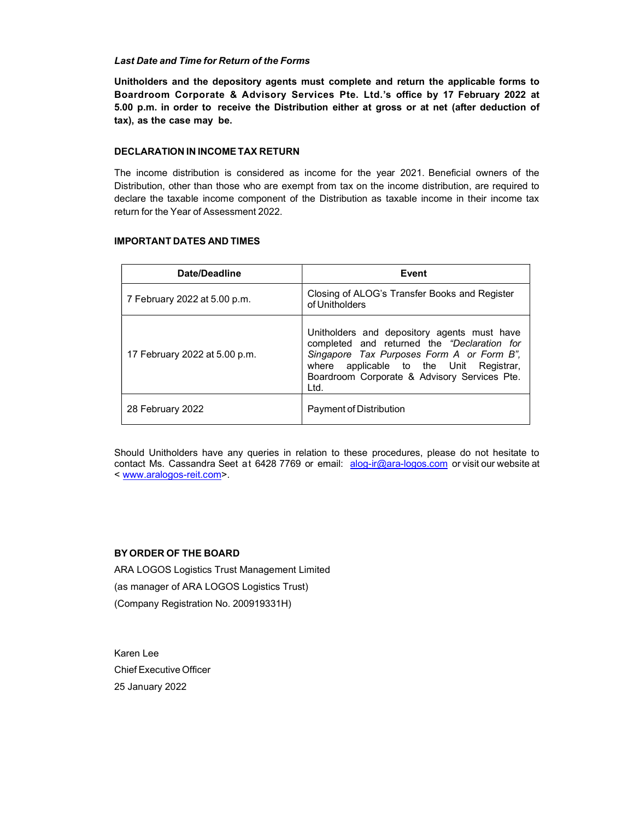### Last Date and Time for Return of the Forms

Unitholders and the depository agents must complete and return the applicable forms to Boardroom Corporate & Advisory Services Pte. Ltd.'s office by 17 February 2022 at 5.00 p.m. in order to receive the Distribution either at gross or at net (after deduction of tax), as the case may be.

## DECLARATION IN INCOME TAX RETURN

The income distribution is considered as income for the year 2021. Beneficial owners of the Distribution, other than those who are exempt from tax on the income distribution, are required to declare the taxable income component of the Distribution as taxable income in their income tax return for the Year of Assessment 2022.

#### IMPORTANT DATES AND TIMES

| Date/Deadline                 | Event                                                                                                                                                                                                                                      |
|-------------------------------|--------------------------------------------------------------------------------------------------------------------------------------------------------------------------------------------------------------------------------------------|
| 7 February 2022 at 5.00 p.m.  | Closing of ALOG's Transfer Books and Register<br>of Unitholders                                                                                                                                                                            |
| 17 February 2022 at 5.00 p.m. | Unitholders and depository agents must have<br>completed and returned the "Declaration for<br>Singapore Tax Purposes Form A or Form B",<br>where applicable to the Unit Registrar,<br>Boardroom Corporate & Advisory Services Pte.<br>Ltd. |
| 28 February 2022              | Payment of Distribution                                                                                                                                                                                                                    |

Should Unitholders have any queries in relation to these procedures, please do not hesitate to contact Ms. Cassandra Seet at 6428 7769 or email: alog-ir@ara-logos.com or visit our website at < www.aralogos-reit.com>.

# BY ORDER OF THE BOARD

ARA LOGOS Logistics Trust Management Limited (as manager of ARA LOGOS Logistics Trust) (Company Registration No. 200919331H)

Karen Lee Chief Executive Officer 25 January 2022